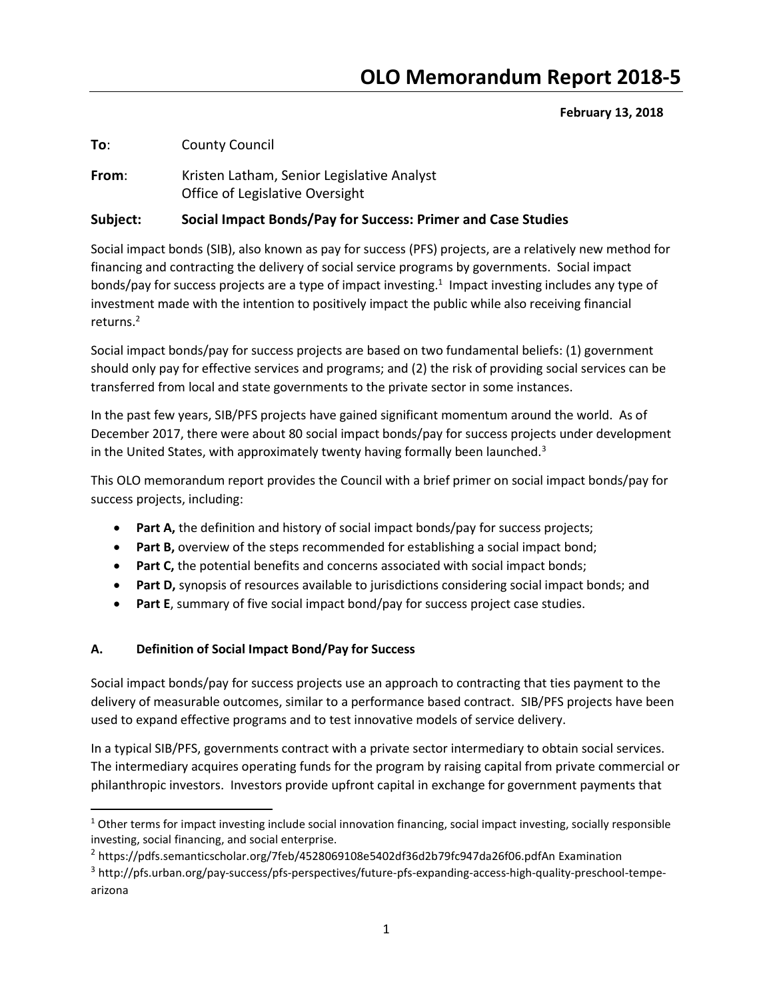# February 13, 2018

To: County Council

From: Kristen Latham, Senior Legislative Analyst Office of Legislative Oversight

# Subject: Social Impact Bonds/Pay for Success: Primer and Case Studies

Social impact bonds (SIB), also known as pay for success (PFS) projects, are a relatively new method for financing and contracting the delivery of social service programs by governments. Social impact bonds/pay for success projects are a type of impact investing.<sup>1</sup> Impact investing includes any type of investment made with the intention to positively impact the public while also receiving financial returns.<sup>2</sup>

Social impact bonds/pay for success projects are based on two fundamental beliefs: (1) government should only pay for effective services and programs; and (2) the risk of providing social services can be transferred from local and state governments to the private sector in some instances.

In the past few years, SIB/PFS projects have gained significant momentum around the world. As of December 2017, there were about 80 social impact bonds/pay for success projects under development in the United States, with approximately twenty having formally been launched.<sup>3</sup>

This OLO memorandum report provides the Council with a brief primer on social impact bonds/pay for success projects, including:

- Part A, the definition and history of social impact bonds/pay for success projects;
- Part B, overview of the steps recommended for establishing a social impact bond;
- Part C, the potential benefits and concerns associated with social impact bonds;
- Part D, synopsis of resources available to jurisdictions considering social impact bonds; and
- Part E, summary of five social impact bond/pay for success project case studies.

# A. Definition of Social Impact Bond/Pay for Success

 $\overline{a}$ 

Social impact bonds/pay for success projects use an approach to contracting that ties payment to the delivery of measurable outcomes, similar to a performance based contract. SIB/PFS projects have been used to expand effective programs and to test innovative models of service delivery.

In a typical SIB/PFS, governments contract with a private sector intermediary to obtain social services. The intermediary acquires operating funds for the program by raising capital from private commercial or philanthropic investors. Investors provide upfront capital in exchange for government payments that

<sup>&</sup>lt;sup>1</sup> Other terms for impact investing include social innovation financing, social impact investing, socially responsible investing, social financing, and social enterprise.

<sup>2</sup> https://pdfs.semanticscholar.org/7feb/4528069108e5402df36d2b79fc947da26f06.pdfAn Examination

<sup>3</sup> http://pfs.urban.org/pay-success/pfs-perspectives/future-pfs-expanding-access-high-quality-preschool-tempearizona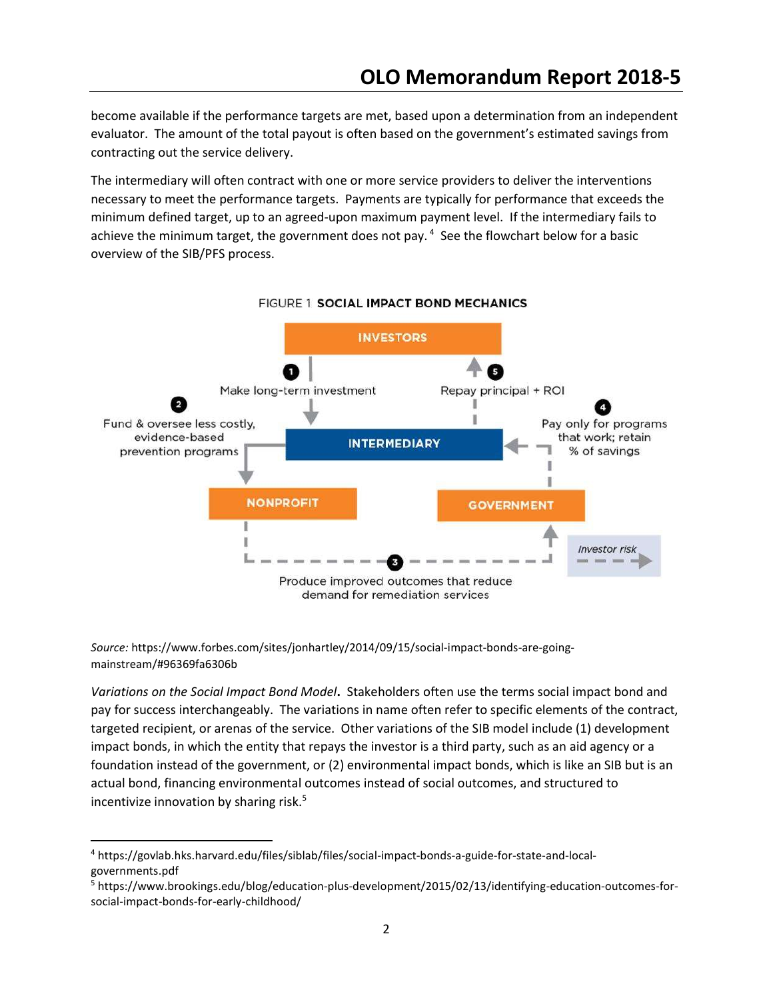become available if the performance targets are met, based upon a determination from an independent evaluator. The amount of the total payout is often based on the government's estimated savings from contracting out the service delivery.

The intermediary will often contract with one or more service providers to deliver the interventions necessary to meet the performance targets. Payments are typically for performance that exceeds the minimum defined target, up to an agreed-upon maximum payment level. If the intermediary fails to achieve the minimum target, the government does not pay.<sup>4</sup> See the flowchart below for a basic overview of the SIB/PFS process.



#### FIGURE 1 SOCIAL IMPACT BOND MECHANICS

Source: https://www.forbes.com/sites/jonhartley/2014/09/15/social-impact-bonds-are-goingmainstream/#96369fa6306b

Variations on the Social Impact Bond Model. Stakeholders often use the terms social impact bond and pay for success interchangeably. The variations in name often refer to specific elements of the contract, targeted recipient, or arenas of the service. Other variations of the SIB model include (1) development impact bonds, in which the entity that repays the investor is a third party, such as an aid agency or a foundation instead of the government, or (2) environmental impact bonds, which is like an SIB but is an actual bond, financing environmental outcomes instead of social outcomes, and structured to incentivize innovation by sharing risk.<sup>5</sup>

 $\overline{a}$ 

<sup>4</sup> https://govlab.hks.harvard.edu/files/siblab/files/social-impact-bonds-a-guide-for-state-and-localgovernments.pdf

<sup>5</sup> https://www.brookings.edu/blog/education-plus-development/2015/02/13/identifying-education-outcomes-forsocial-impact-bonds-for-early-childhood/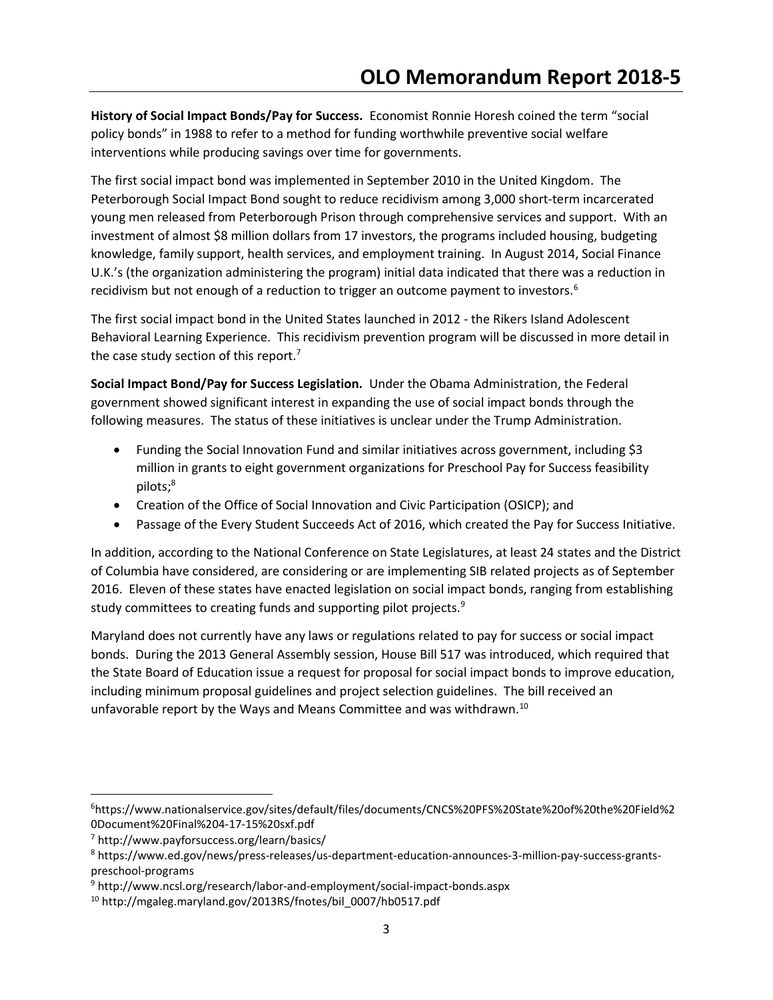History of Social Impact Bonds/Pay for Success. Economist Ronnie Horesh coined the term "social policy bonds" in 1988 to refer to a method for funding worthwhile preventive social welfare interventions while producing savings over time for governments.

The first social impact bond was implemented in September 2010 in the United Kingdom. The Peterborough Social Impact Bond sought to reduce recidivism among 3,000 short-term incarcerated young men released from Peterborough Prison through comprehensive services and support. With an investment of almost \$8 million dollars from 17 investors, the programs included housing, budgeting knowledge, family support, health services, and employment training. In August 2014, Social Finance U.K.'s (the organization administering the program) initial data indicated that there was a reduction in recidivism but not enough of a reduction to trigger an outcome payment to investors.<sup>6</sup>

The first social impact bond in the United States launched in 2012 - the Rikers Island Adolescent Behavioral Learning Experience. This recidivism prevention program will be discussed in more detail in the case study section of this report. $<sup>7</sup>$ </sup>

Social Impact Bond/Pay for Success Legislation. Under the Obama Administration, the Federal government showed significant interest in expanding the use of social impact bonds through the following measures. The status of these initiatives is unclear under the Trump Administration.

- Funding the Social Innovation Fund and similar initiatives across government, including \$3 million in grants to eight government organizations for Preschool Pay for Success feasibility pilots;<sup>8</sup>
- Creation of the Office of Social Innovation and Civic Participation (OSICP); and
- Passage of the Every Student Succeeds Act of 2016, which created the Pay for Success Initiative.

In addition, according to the National Conference on State Legislatures, at least 24 states and the District of Columbia have considered, are considering or are implementing SIB related projects as of September 2016. Eleven of these states have enacted legislation on social impact bonds, ranging from establishing study committees to creating funds and supporting pilot projects.<sup>9</sup>

Maryland does not currently have any laws or regulations related to pay for success or social impact bonds. During the 2013 General Assembly session, House Bill 517 was introduced, which required that the State Board of Education issue a request for proposal for social impact bonds to improve education, including minimum proposal guidelines and project selection guidelines. The bill received an unfavorable report by the Ways and Means Committee and was withdrawn.<sup>10</sup>

<sup>6</sup>https://www.nationalservice.gov/sites/default/files/documents/CNCS%20PFS%20State%20of%20the%20Field%2 0Document%20Final%204-17-15%20sxf.pdf

<sup>7</sup> http://www.payforsuccess.org/learn/basics/

<sup>8</sup> https://www.ed.gov/news/press-releases/us-department-education-announces-3-million-pay-success-grantspreschool-programs

<sup>9</sup> http://www.ncsl.org/research/labor-and-employment/social-impact-bonds.aspx

<sup>10</sup> http://mgaleg.maryland.gov/2013RS/fnotes/bil\_0007/hb0517.pdf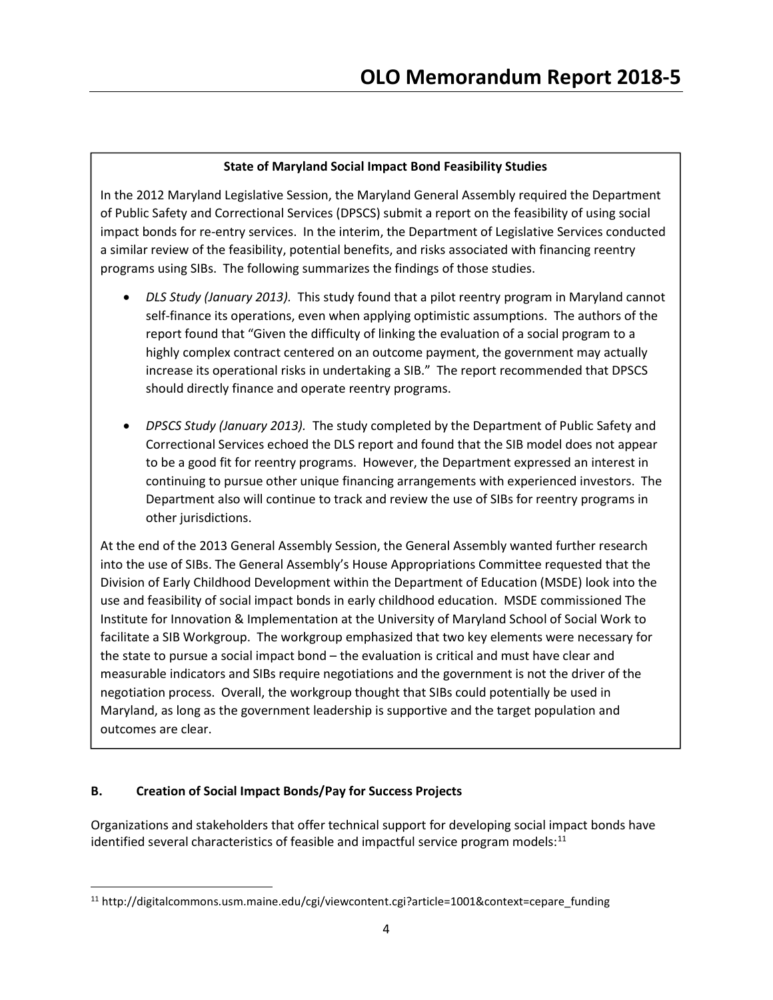# State of Maryland Social Impact Bond Feasibility Studies

In the 2012 Maryland Legislative Session, the Maryland General Assembly required the Department of Public Safety and Correctional Services (DPSCS) submit a report on the feasibility of using social impact bonds for re-entry services. In the interim, the Department of Legislative Services conducted a similar review of the feasibility, potential benefits, and risks associated with financing reentry programs using SIBs. The following summarizes the findings of those studies.

- DLS Study (January 2013). This study found that a pilot reentry program in Maryland cannot self-finance its operations, even when applying optimistic assumptions. The authors of the report found that "Given the difficulty of linking the evaluation of a social program to a highly complex contract centered on an outcome payment, the government may actually increase its operational risks in undertaking a SIB." The report recommended that DPSCS should directly finance and operate reentry programs.
- DPSCS Study (January 2013). The study completed by the Department of Public Safety and Correctional Services echoed the DLS report and found that the SIB model does not appear to be a good fit for reentry programs. However, the Department expressed an interest in continuing to pursue other unique financing arrangements with experienced investors. The Department also will continue to track and review the use of SIBs for reentry programs in other jurisdictions.

At the end of the 2013 General Assembly Session, the General Assembly wanted further research into the use of SIBs. The General Assembly's House Appropriations Committee requested that the Division of Early Childhood Development within the Department of Education (MSDE) look into the use and feasibility of social impact bonds in early childhood education. MSDE commissioned The Institute for Innovation & Implementation at the University of Maryland School of Social Work to facilitate a SIB Workgroup. The workgroup emphasized that two key elements were necessary for the state to pursue a social impact bond – the evaluation is critical and must have clear and measurable indicators and SIBs require negotiations and the government is not the driver of the negotiation process. Overall, the workgroup thought that SIBs could potentially be used in Maryland, as long as the government leadership is supportive and the target population and outcomes are clear.

# B. Creation of Social Impact Bonds/Pay for Success Projects

Organizations and stakeholders that offer technical support for developing social impact bonds have identified several characteristics of feasible and impactful service program models: $^{11}$ 

<sup>11</sup> http://digitalcommons.usm.maine.edu/cgi/viewcontent.cgi?article=1001&context=cepare\_funding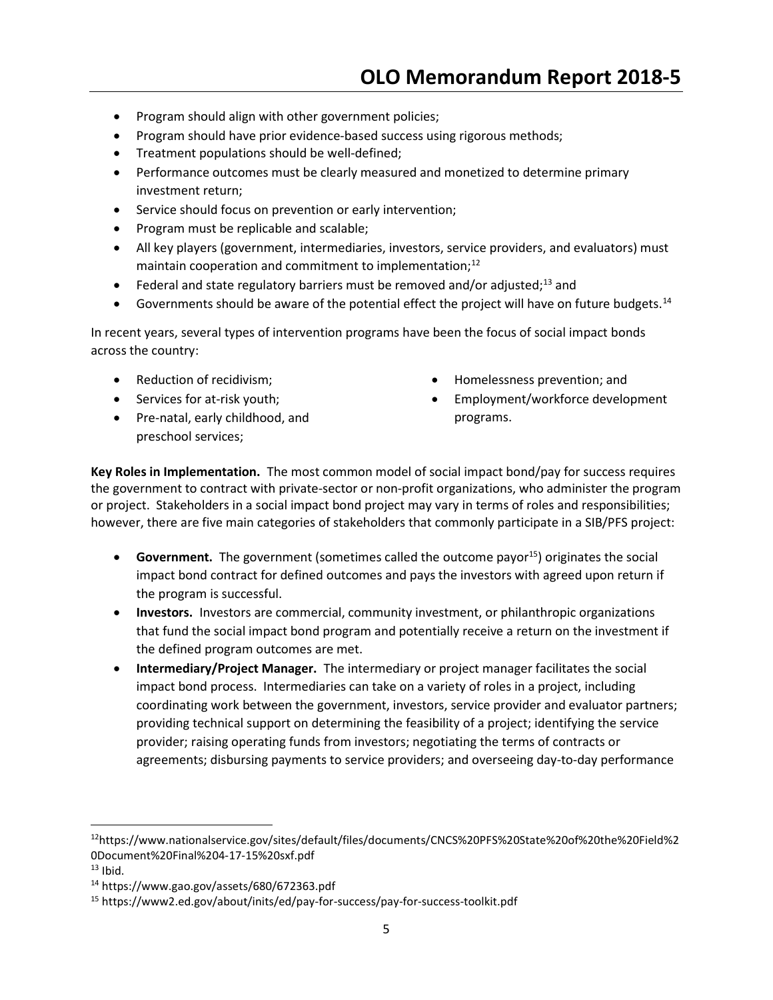- Program should align with other government policies;
- Program should have prior evidence-based success using rigorous methods;
- **•** Treatment populations should be well-defined;
- Performance outcomes must be clearly measured and monetized to determine primary investment return;
- Service should focus on prevention or early intervention;
- Program must be replicable and scalable;
- All key players (government, intermediaries, investors, service providers, and evaluators) must maintain cooperation and commitment to implementation;<sup>12</sup>
- Federal and state regulatory barriers must be removed and/or adjusted;<sup>13</sup> and
- Governments should be aware of the potential effect the project will have on future budgets.<sup>14</sup>

In recent years, several types of intervention programs have been the focus of social impact bonds across the country:

- Reduction of recidivism:
- Services for at-risk youth;
- Pre-natal, early childhood, and preschool services;
- Homelessness prevention; and
- Employment/workforce development programs.

Key Roles in Implementation. The most common model of social impact bond/pay for success requires the government to contract with private-sector or non-profit organizations, who administer the program or project. Stakeholders in a social impact bond project may vary in terms of roles and responsibilities; however, there are five main categories of stakeholders that commonly participate in a SIB/PFS project:

- **Government.** The government (sometimes called the outcome payor<sup>15</sup>) originates the social impact bond contract for defined outcomes and pays the investors with agreed upon return if the program is successful.
- Investors. Investors are commercial, community investment, or philanthropic organizations that fund the social impact bond program and potentially receive a return on the investment if the defined program outcomes are met.
- **Intermediary/Project Manager.** The intermediary or project manager facilitates the social impact bond process. Intermediaries can take on a variety of roles in a project, including coordinating work between the government, investors, service provider and evaluator partners; providing technical support on determining the feasibility of a project; identifying the service provider; raising operating funds from investors; negotiating the terms of contracts or agreements; disbursing payments to service providers; and overseeing day-to-day performance

<sup>12</sup>https://www.nationalservice.gov/sites/default/files/documents/CNCS%20PFS%20State%20of%20the%20Field%2 0Document%20Final%204-17-15%20sxf.pdf

 $13$  Ibid.

<sup>14</sup> https://www.gao.gov/assets/680/672363.pdf

<sup>15</sup> https://www2.ed.gov/about/inits/ed/pay-for-success/pay-for-success-toolkit.pdf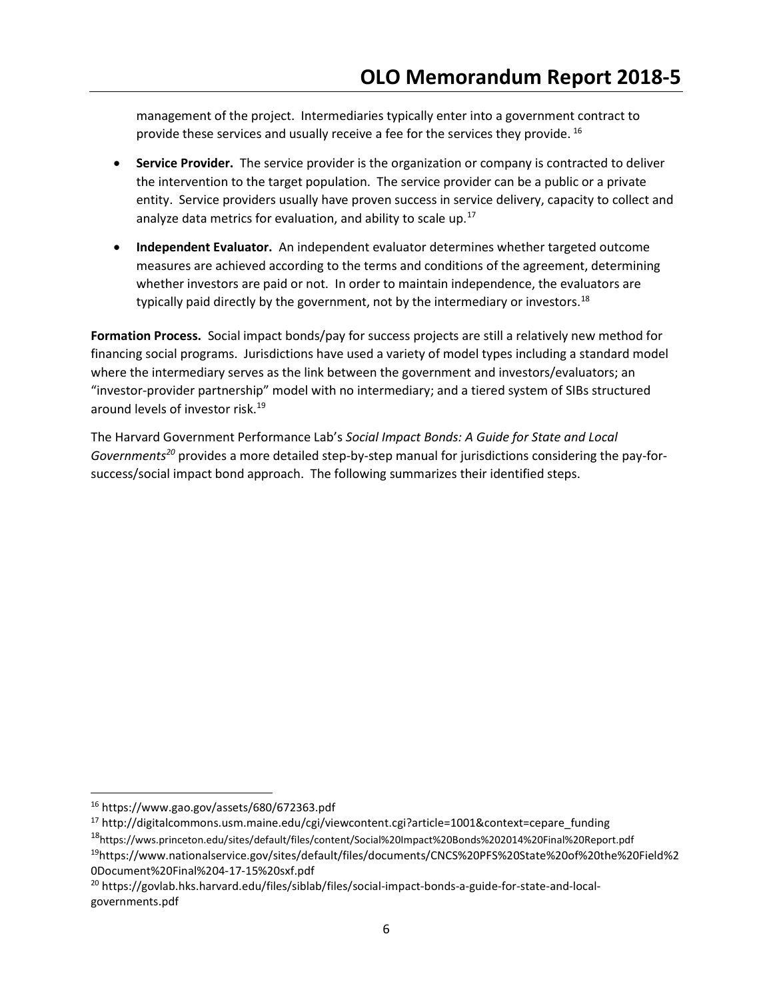management of the project. Intermediaries typically enter into a government contract to provide these services and usually receive a fee for the services they provide.<sup>16</sup>

- Service Provider. The service provider is the organization or company is contracted to deliver the intervention to the target population. The service provider can be a public or a private entity. Service providers usually have proven success in service delivery, capacity to collect and analyze data metrics for evaluation, and ability to scale up. $17$
- Independent Evaluator. An independent evaluator determines whether targeted outcome measures are achieved according to the terms and conditions of the agreement, determining whether investors are paid or not. In order to maintain independence, the evaluators are typically paid directly by the government, not by the intermediary or investors.<sup>18</sup>

Formation Process. Social impact bonds/pay for success projects are still a relatively new method for financing social programs. Jurisdictions have used a variety of model types including a standard model where the intermediary serves as the link between the government and investors/evaluators; an "investor-provider partnership" model with no intermediary; and a tiered system of SIBs structured around levels of investor risk.<sup>19</sup>

The Harvard Government Performance Lab's Social Impact Bonds: A Guide for State and Local Governments<sup>20</sup> provides a more detailed step-by-step manual for jurisdictions considering the pay-forsuccess/social impact bond approach. The following summarizes their identified steps.

<sup>16</sup> https://www.gao.gov/assets/680/672363.pdf

<sup>17</sup> http://digitalcommons.usm.maine.edu/cgi/viewcontent.cgi?article=1001&context=cepare\_funding <sup>18</sup>https://wws.princeton.edu/sites/default/files/content/Social%20Impact%20Bonds%202014%20Final%20Report.pdf

<sup>19</sup>https://www.nationalservice.gov/sites/default/files/documents/CNCS%20PFS%20State%20of%20the%20Field%2 0Document%20Final%204-17-15%20sxf.pdf

<sup>20</sup> https://govlab.hks.harvard.edu/files/siblab/files/social-impact-bonds-a-guide-for-state-and-localgovernments.pdf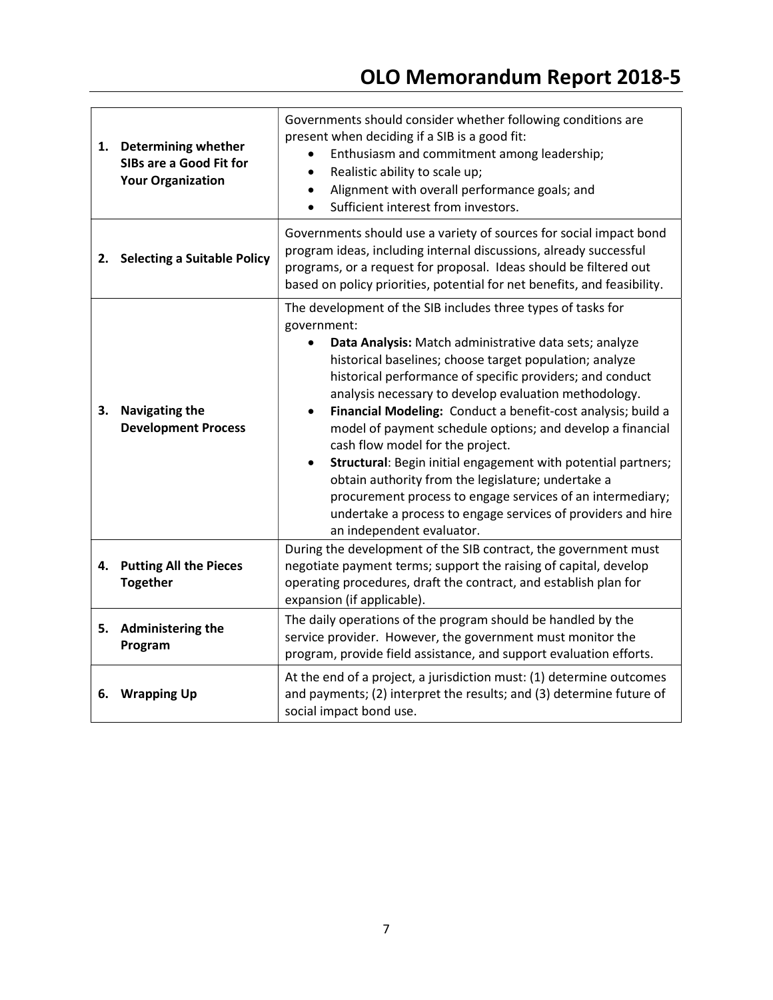| 1. | <b>Determining whether</b><br>SIBs are a Good Fit for<br><b>Your Organization</b> | Governments should consider whether following conditions are<br>present when deciding if a SIB is a good fit:<br>Enthusiasm and commitment among leadership;<br>Realistic ability to scale up;<br>$\bullet$<br>Alignment with overall performance goals; and<br>$\bullet$<br>Sufficient interest from investors.                                                                                                                                                                                                                                                                                                                                                                                                                                                                                     |
|----|-----------------------------------------------------------------------------------|------------------------------------------------------------------------------------------------------------------------------------------------------------------------------------------------------------------------------------------------------------------------------------------------------------------------------------------------------------------------------------------------------------------------------------------------------------------------------------------------------------------------------------------------------------------------------------------------------------------------------------------------------------------------------------------------------------------------------------------------------------------------------------------------------|
|    | 2. Selecting a Suitable Policy                                                    | Governments should use a variety of sources for social impact bond<br>program ideas, including internal discussions, already successful<br>programs, or a request for proposal. Ideas should be filtered out<br>based on policy priorities, potential for net benefits, and feasibility.                                                                                                                                                                                                                                                                                                                                                                                                                                                                                                             |
| з. | <b>Navigating the</b><br><b>Development Process</b>                               | The development of the SIB includes three types of tasks for<br>government:<br>Data Analysis: Match administrative data sets; analyze<br>historical baselines; choose target population; analyze<br>historical performance of specific providers; and conduct<br>analysis necessary to develop evaluation methodology.<br>Financial Modeling: Conduct a benefit-cost analysis; build a<br>$\bullet$<br>model of payment schedule options; and develop a financial<br>cash flow model for the project.<br>Structural: Begin initial engagement with potential partners;<br>$\bullet$<br>obtain authority from the legislature; undertake a<br>procurement process to engage services of an intermediary;<br>undertake a process to engage services of providers and hire<br>an independent evaluator. |
| 4. | <b>Putting All the Pieces</b><br><b>Together</b>                                  | During the development of the SIB contract, the government must<br>negotiate payment terms; support the raising of capital, develop<br>operating procedures, draft the contract, and establish plan for<br>expansion (if applicable).                                                                                                                                                                                                                                                                                                                                                                                                                                                                                                                                                                |
| 5. | Administering the<br>Program                                                      | The daily operations of the program should be handled by the<br>service provider. However, the government must monitor the<br>program, provide field assistance, and support evaluation efforts.                                                                                                                                                                                                                                                                                                                                                                                                                                                                                                                                                                                                     |
| 6. | <b>Wrapping Up</b>                                                                | At the end of a project, a jurisdiction must: (1) determine outcomes<br>and payments; (2) interpret the results; and (3) determine future of<br>social impact bond use.                                                                                                                                                                                                                                                                                                                                                                                                                                                                                                                                                                                                                              |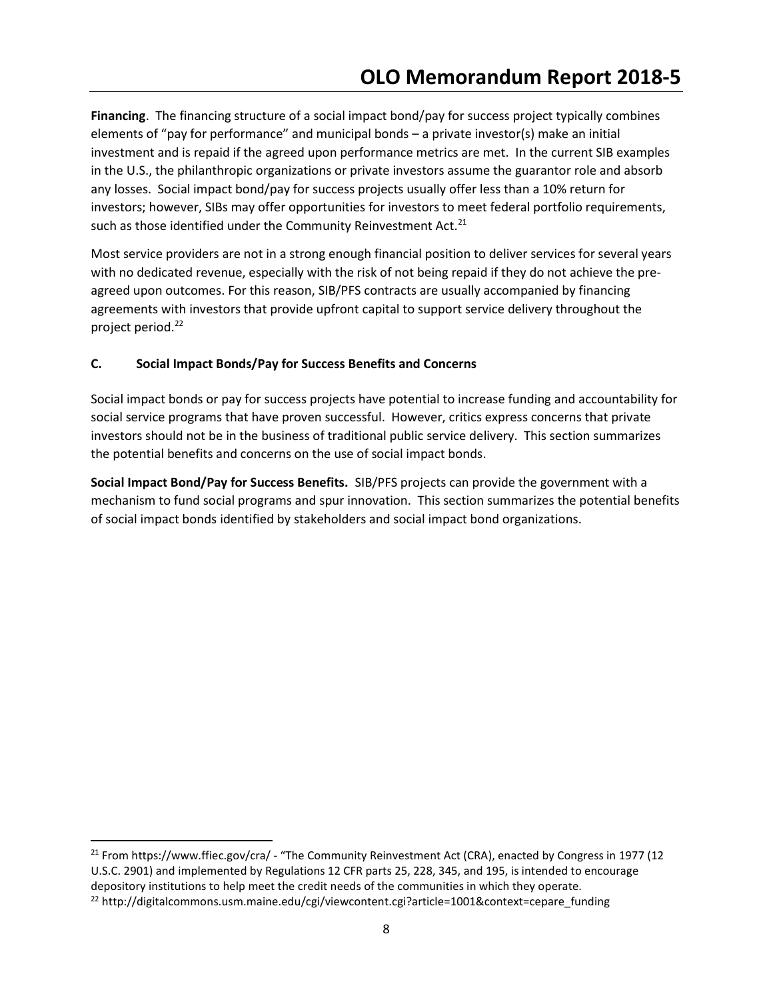Financing. The financing structure of a social impact bond/pay for success project typically combines elements of "pay for performance" and municipal bonds – a private investor(s) make an initial investment and is repaid if the agreed upon performance metrics are met. In the current SIB examples in the U.S., the philanthropic organizations or private investors assume the guarantor role and absorb any losses. Social impact bond/pay for success projects usually offer less than a 10% return for investors; however, SIBs may offer opportunities for investors to meet federal portfolio requirements, such as those identified under the Community Reinvestment Act.<sup>21</sup>

Most service providers are not in a strong enough financial position to deliver services for several years with no dedicated revenue, especially with the risk of not being repaid if they do not achieve the preagreed upon outcomes. For this reason, SIB/PFS contracts are usually accompanied by financing agreements with investors that provide upfront capital to support service delivery throughout the project period.<sup>22</sup>

## C. Social Impact Bonds/Pay for Success Benefits and Concerns

 $\overline{a}$ 

Social impact bonds or pay for success projects have potential to increase funding and accountability for social service programs that have proven successful. However, critics express concerns that private investors should not be in the business of traditional public service delivery. This section summarizes the potential benefits and concerns on the use of social impact bonds.

Social Impact Bond/Pay for Success Benefits. SIB/PFS projects can provide the government with a mechanism to fund social programs and spur innovation. This section summarizes the potential benefits of social impact bonds identified by stakeholders and social impact bond organizations.

<sup>&</sup>lt;sup>21</sup> From https://www.ffiec.gov/cra/ - "The Community Reinvestment Act (CRA), enacted by Congress in 1977 (12 U.S.C. 2901) and implemented by Regulations 12 CFR parts 25, 228, 345, and 195, is intended to encourage depository institutions to help meet the credit needs of the communities in which they operate. <sup>22</sup> http://digitalcommons.usm.maine.edu/cgi/viewcontent.cgi?article=1001&context=cepare\_funding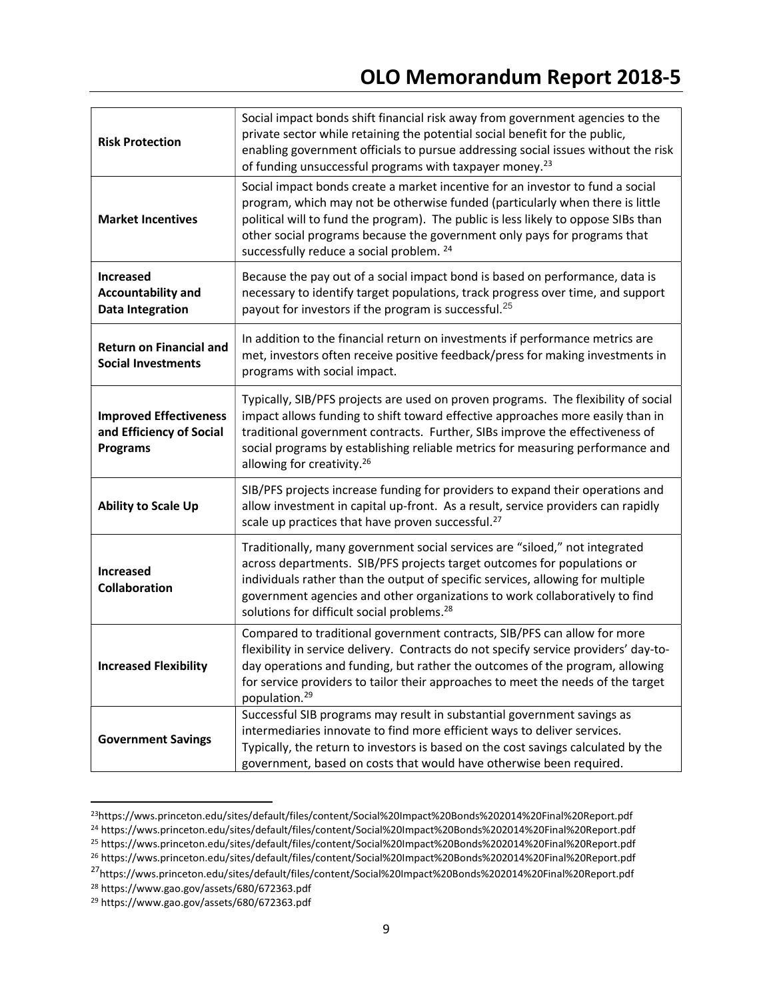| <b>Risk Protection</b>                                                       | Social impact bonds shift financial risk away from government agencies to the<br>private sector while retaining the potential social benefit for the public,<br>enabling government officials to pursue addressing social issues without the risk<br>of funding unsuccessful programs with taxpayer money. <sup>23</sup>                                                          |
|------------------------------------------------------------------------------|-----------------------------------------------------------------------------------------------------------------------------------------------------------------------------------------------------------------------------------------------------------------------------------------------------------------------------------------------------------------------------------|
| <b>Market Incentives</b>                                                     | Social impact bonds create a market incentive for an investor to fund a social<br>program, which may not be otherwise funded (particularly when there is little<br>political will to fund the program). The public is less likely to oppose SIBs than<br>other social programs because the government only pays for programs that<br>successfully reduce a social problem. 24     |
| <b>Increased</b><br><b>Accountability and</b><br><b>Data Integration</b>     | Because the pay out of a social impact bond is based on performance, data is<br>necessary to identify target populations, track progress over time, and support<br>payout for investors if the program is successful. <sup>25</sup>                                                                                                                                               |
| <b>Return on Financial and</b><br><b>Social Investments</b>                  | In addition to the financial return on investments if performance metrics are<br>met, investors often receive positive feedback/press for making investments in<br>programs with social impact.                                                                                                                                                                                   |
| <b>Improved Effectiveness</b><br>and Efficiency of Social<br><b>Programs</b> | Typically, SIB/PFS projects are used on proven programs. The flexibility of social<br>impact allows funding to shift toward effective approaches more easily than in<br>traditional government contracts. Further, SIBs improve the effectiveness of<br>social programs by establishing reliable metrics for measuring performance and<br>allowing for creativity. <sup>26</sup>  |
| <b>Ability to Scale Up</b>                                                   | SIB/PFS projects increase funding for providers to expand their operations and<br>allow investment in capital up-front. As a result, service providers can rapidly<br>scale up practices that have proven successful. <sup>27</sup>                                                                                                                                               |
| <b>Increased</b><br>Collaboration                                            | Traditionally, many government social services are "siloed," not integrated<br>across departments. SIB/PFS projects target outcomes for populations or<br>individuals rather than the output of specific services, allowing for multiple<br>government agencies and other organizations to work collaboratively to find<br>solutions for difficult social problems. <sup>28</sup> |
| <b>Increased Flexibility</b>                                                 | Compared to traditional government contracts, SIB/PFS can allow for more<br>flexibility in service delivery. Contracts do not specify service providers' day-to-<br>day operations and funding, but rather the outcomes of the program, allowing<br>for service providers to tailor their approaches to meet the needs of the target<br>population. <sup>29</sup>                 |
| <b>Government Savings</b>                                                    | Successful SIB programs may result in substantial government savings as<br>intermediaries innovate to find more efficient ways to deliver services.<br>Typically, the return to investors is based on the cost savings calculated by the<br>government, based on costs that would have otherwise been required.                                                                   |

<sup>23</sup>https://wws.princeton.edu/sites/default/files/content/Social%20Impact%20Bonds%202014%20Final%20Report.pdf <sup>24</sup> https://wws.princeton.edu/sites/default/files/content/Social%20Impact%20Bonds%202014%20Final%20Report.pdf

<sup>25</sup> https://wws.princeton.edu/sites/default/files/content/Social%20Impact%20Bonds%202014%20Final%20Report.pdf

<sup>26</sup> https://wws.princeton.edu/sites/default/files/content/Social%20Impact%20Bonds%202014%20Final%20Report.pdf

<sup>27</sup>https://wws.princeton.edu/sites/default/files/content/Social%20Impact%20Bonds%202014%20Final%20Report.pdf

<sup>28</sup> https://www.gao.gov/assets/680/672363.pdf

<sup>29</sup> https://www.gao.gov/assets/680/672363.pdf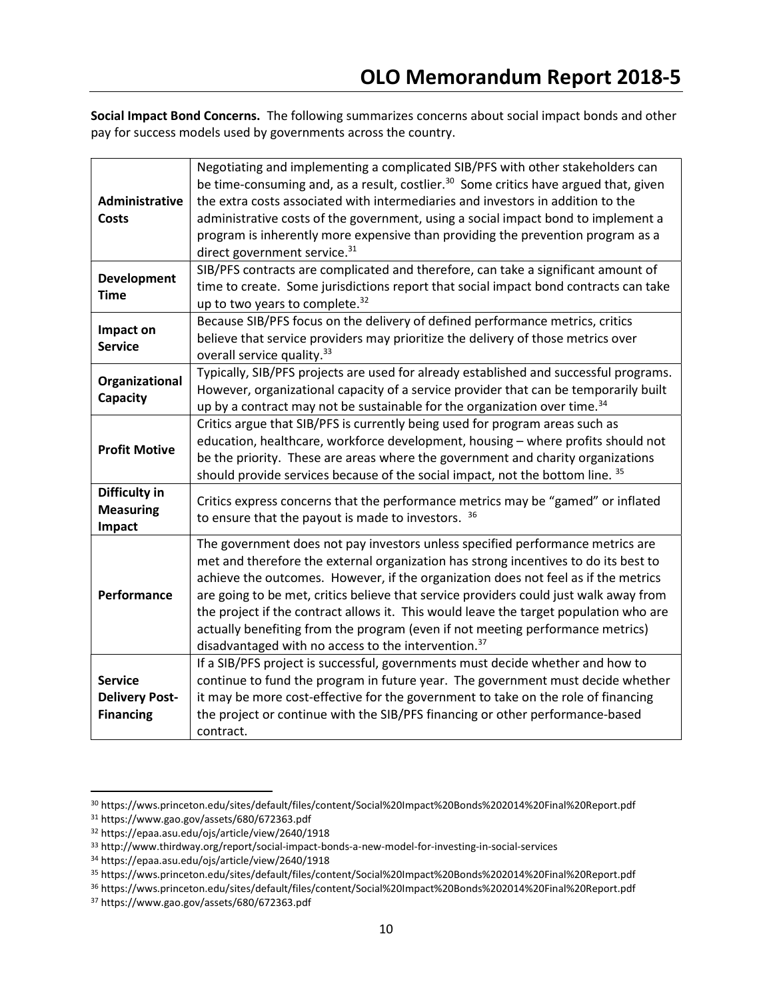Social Impact Bond Concerns. The following summarizes concerns about social impact bonds and other pay for success models used by governments across the country.

| Administrative<br>Costs                                     | Negotiating and implementing a complicated SIB/PFS with other stakeholders can<br>be time-consuming and, as a result, costlier. <sup>30</sup> Some critics have argued that, given<br>the extra costs associated with intermediaries and investors in addition to the<br>administrative costs of the government, using a social impact bond to implement a<br>program is inherently more expensive than providing the prevention program as a<br>direct government service. <sup>31</sup>                                                                                                          |
|-------------------------------------------------------------|----------------------------------------------------------------------------------------------------------------------------------------------------------------------------------------------------------------------------------------------------------------------------------------------------------------------------------------------------------------------------------------------------------------------------------------------------------------------------------------------------------------------------------------------------------------------------------------------------|
| <b>Development</b><br><b>Time</b>                           | SIB/PFS contracts are complicated and therefore, can take a significant amount of<br>time to create. Some jurisdictions report that social impact bond contracts can take<br>up to two years to complete. <sup>32</sup>                                                                                                                                                                                                                                                                                                                                                                            |
| Impact on<br><b>Service</b>                                 | Because SIB/PFS focus on the delivery of defined performance metrics, critics<br>believe that service providers may prioritize the delivery of those metrics over<br>overall service quality. <sup>33</sup>                                                                                                                                                                                                                                                                                                                                                                                        |
| Organizational<br>Capacity                                  | Typically, SIB/PFS projects are used for already established and successful programs.<br>However, organizational capacity of a service provider that can be temporarily built<br>up by a contract may not be sustainable for the organization over time. <sup>34</sup>                                                                                                                                                                                                                                                                                                                             |
| <b>Profit Motive</b>                                        | Critics argue that SIB/PFS is currently being used for program areas such as<br>education, healthcare, workforce development, housing - where profits should not<br>be the priority. These are areas where the government and charity organizations<br>should provide services because of the social impact, not the bottom line. 35                                                                                                                                                                                                                                                               |
| Difficulty in<br><b>Measuring</b><br>Impact                 | Critics express concerns that the performance metrics may be "gamed" or inflated<br>to ensure that the payout is made to investors.<br>36                                                                                                                                                                                                                                                                                                                                                                                                                                                          |
| Performance                                                 | The government does not pay investors unless specified performance metrics are<br>met and therefore the external organization has strong incentives to do its best to<br>achieve the outcomes. However, if the organization does not feel as if the metrics<br>are going to be met, critics believe that service providers could just walk away from<br>the project if the contract allows it. This would leave the target population who are<br>actually benefiting from the program (even if not meeting performance metrics)<br>disadvantaged with no access to the intervention. <sup>37</sup> |
| <b>Service</b><br><b>Delivery Post-</b><br><b>Financing</b> | If a SIB/PFS project is successful, governments must decide whether and how to<br>continue to fund the program in future year. The government must decide whether<br>it may be more cost-effective for the government to take on the role of financing<br>the project or continue with the SIB/PFS financing or other performance-based<br>contract.                                                                                                                                                                                                                                               |

 $\overline{a}$ 

<sup>30</sup> https://wws.princeton.edu/sites/default/files/content/Social%20Impact%20Bonds%202014%20Final%20Report.pdf

<sup>31</sup> https://www.gao.gov/assets/680/672363.pdf

<sup>32</sup> https://epaa.asu.edu/ojs/article/view/2640/1918

<sup>33</sup> http://www.thirdway.org/report/social-impact-bonds-a-new-model-for-investing-in-social-services

<sup>34</sup> https://epaa.asu.edu/ojs/article/view/2640/1918

<sup>35</sup> https://wws.princeton.edu/sites/default/files/content/Social%20Impact%20Bonds%202014%20Final%20Report.pdf

<sup>36</sup> https://wws.princeton.edu/sites/default/files/content/Social%20Impact%20Bonds%202014%20Final%20Report.pdf

<sup>37</sup> https://www.gao.gov/assets/680/672363.pdf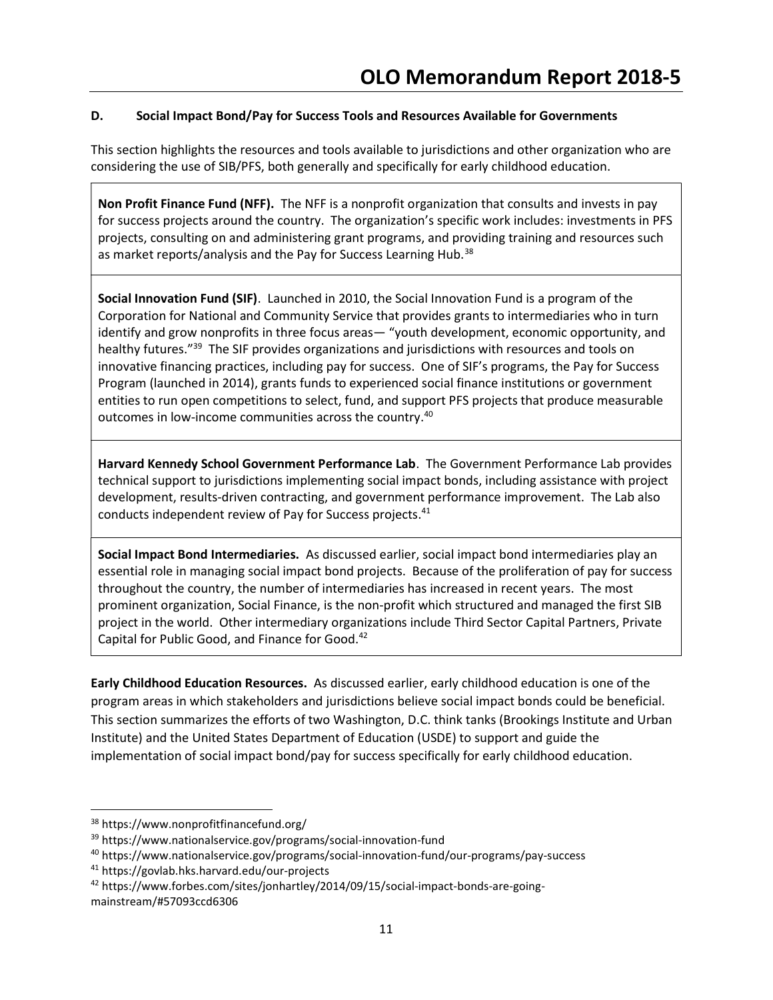# D. Social Impact Bond/Pay for Success Tools and Resources Available for Governments

This section highlights the resources and tools available to jurisdictions and other organization who are considering the use of SIB/PFS, both generally and specifically for early childhood education.

Non Profit Finance Fund (NFF). The NFF is a nonprofit organization that consults and invests in pay for success projects around the country. The organization's specific work includes: investments in PFS projects, consulting on and administering grant programs, and providing training and resources such as market reports/analysis and the Pay for Success Learning Hub.<sup>38</sup>

Social Innovation Fund (SIF). Launched in 2010, the Social Innovation Fund is a program of the Corporation for National and Community Service that provides grants to intermediaries who in turn identify and grow nonprofits in three focus areas— "youth development, economic opportunity, and healthy futures."<sup>39</sup> The SIF provides organizations and jurisdictions with resources and tools on innovative financing practices, including pay for success. One of SIF's programs, the Pay for Success Program (launched in 2014), grants funds to experienced social finance institutions or government entities to run open competitions to select, fund, and support PFS projects that produce measurable outcomes in low-income communities across the country.<sup>40</sup>

Harvard Kennedy School Government Performance Lab. The Government Performance Lab provides technical support to jurisdictions implementing social impact bonds, including assistance with project development, results-driven contracting, and government performance improvement. The Lab also conducts independent review of Pay for Success projects.<sup>41</sup>

Social Impact Bond Intermediaries. As discussed earlier, social impact bond intermediaries play an essential role in managing social impact bond projects. Because of the proliferation of pay for success throughout the country, the number of intermediaries has increased in recent years. The most prominent organization, Social Finance, is the non-profit which structured and managed the first SIB project in the world. Other intermediary organizations include Third Sector Capital Partners, Private Capital for Public Good, and Finance for Good.<sup>42</sup>

Early Childhood Education Resources. As discussed earlier, early childhood education is one of the program areas in which stakeholders and jurisdictions believe social impact bonds could be beneficial. This section summarizes the efforts of two Washington, D.C. think tanks (Brookings Institute and Urban Institute) and the United States Department of Education (USDE) to support and guide the implementation of social impact bond/pay for success specifically for early childhood education.

 $\overline{a}$ 

<sup>38</sup> https://www.nonprofitfinancefund.org/

<sup>39</sup> https://www.nationalservice.gov/programs/social-innovation-fund

<sup>40</sup> https://www.nationalservice.gov/programs/social-innovation-fund/our-programs/pay-success

<sup>41</sup> https://govlab.hks.harvard.edu/our-projects

<sup>42</sup> https://www.forbes.com/sites/jonhartley/2014/09/15/social-impact-bonds-are-goingmainstream/#57093ccd6306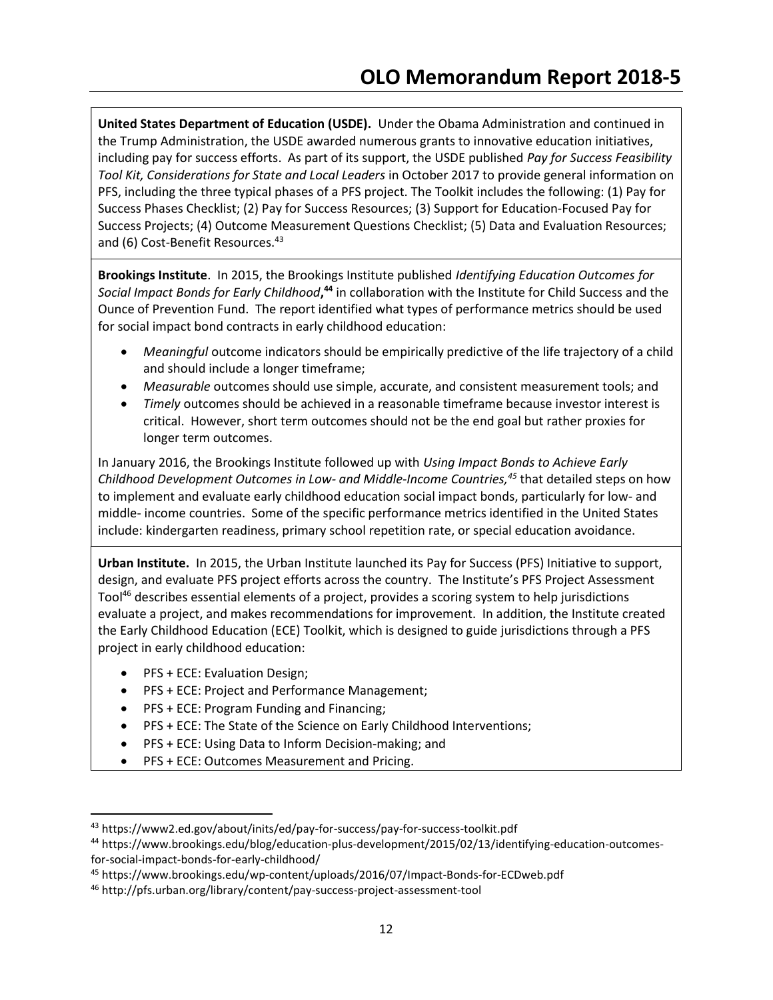United States Department of Education (USDE). Under the Obama Administration and continued in the Trump Administration, the USDE awarded numerous grants to innovative education initiatives, including pay for success efforts. As part of its support, the USDE published Pay for Success Feasibility Tool Kit, Considerations for State and Local Leaders in October 2017 to provide general information on PFS, including the three typical phases of a PFS project. The Toolkit includes the following: (1) Pay for Success Phases Checklist; (2) Pay for Success Resources; (3) Support for Education-Focused Pay for Success Projects; (4) Outcome Measurement Questions Checklist; (5) Data and Evaluation Resources; and (6) Cost-Benefit Resources.<sup>43</sup>

Brookings Institute. In 2015, the Brookings Institute published Identifying Education Outcomes for Social Impact Bonds for Early Childhood,<sup>44</sup> in collaboration with the Institute for Child Success and the Ounce of Prevention Fund. The report identified what types of performance metrics should be used for social impact bond contracts in early childhood education:

- Meaningful outcome indicators should be empirically predictive of the life trajectory of a child and should include a longer timeframe;
- Measurable outcomes should use simple, accurate, and consistent measurement tools; and
- Timely outcomes should be achieved in a reasonable timeframe because investor interest is critical. However, short term outcomes should not be the end goal but rather proxies for longer term outcomes.

In January 2016, the Brookings Institute followed up with Using Impact Bonds to Achieve Early Childhood Development Outcomes in Low- and Middle-Income Countries,<sup>45</sup> that detailed steps on how to implement and evaluate early childhood education social impact bonds, particularly for low- and middle- income countries. Some of the specific performance metrics identified in the United States include: kindergarten readiness, primary school repetition rate, or special education avoidance.

Urban Institute. In 2015, the Urban Institute launched its Pay for Success (PFS) Initiative to support, design, and evaluate PFS project efforts across the country. The Institute's PFS Project Assessment Tool<sup>46</sup> describes essential elements of a project, provides a scoring system to help jurisdictions evaluate a project, and makes recommendations for improvement. In addition, the Institute created the Early Childhood Education (ECE) Toolkit, which is designed to guide jurisdictions through a PFS project in early childhood education:

PFS + ECE: Evaluation Design;

- PFS + ECE: Project and Performance Management;
- PFS + ECE: Program Funding and Financing;
- PFS + ECE: The State of the Science on Early Childhood Interventions;
- **•** PFS + ECE: Using Data to Inform Decision-making; and
- PFS + ECE: Outcomes Measurement and Pricing.

<sup>43</sup> https://www2.ed.gov/about/inits/ed/pay-for-success/pay-for-success-toolkit.pdf

<sup>44</sup> https://www.brookings.edu/blog/education-plus-development/2015/02/13/identifying-education-outcomesfor-social-impact-bonds-for-early-childhood/

<sup>45</sup> https://www.brookings.edu/wp-content/uploads/2016/07/Impact-Bonds-for-ECDweb.pdf

<sup>46</sup> http://pfs.urban.org/library/content/pay-success-project-assessment-tool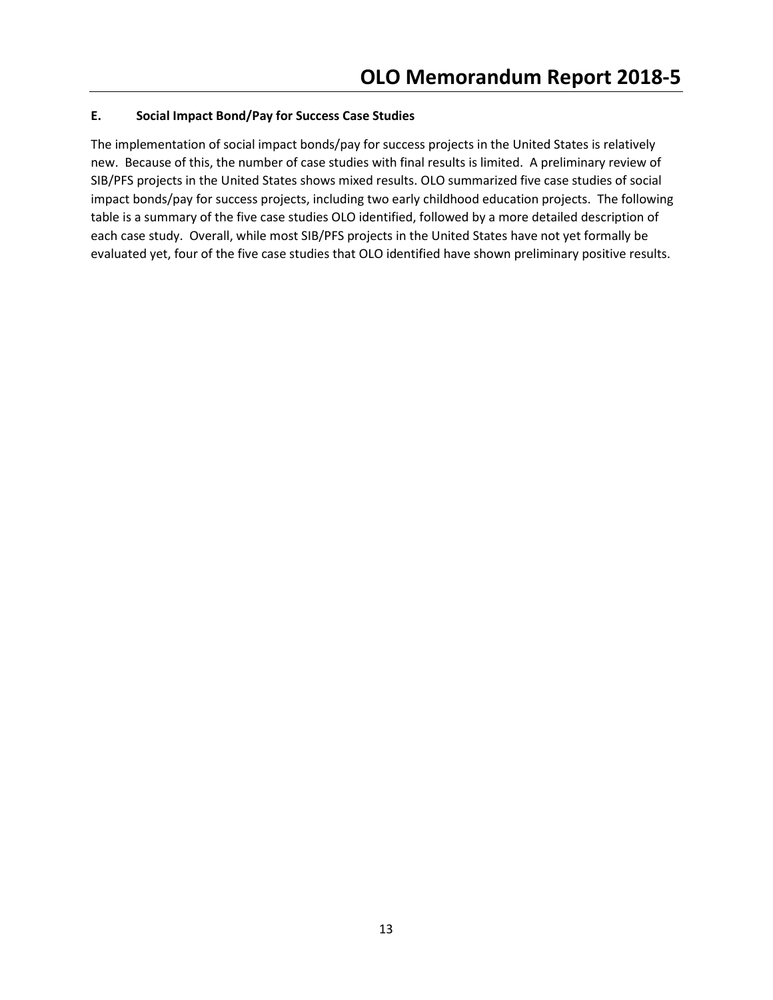# E. Social Impact Bond/Pay for Success Case Studies

The implementation of social impact bonds/pay for success projects in the United States is relatively new. Because of this, the number of case studies with final results is limited. A preliminary review of SIB/PFS projects in the United States shows mixed results. OLO summarized five case studies of social impact bonds/pay for success projects, including two early childhood education projects. The following table is a summary of the five case studies OLO identified, followed by a more detailed description of each case study. Overall, while most SIB/PFS projects in the United States have not yet formally be evaluated yet, four of the five case studies that OLO identified have shown preliminary positive results.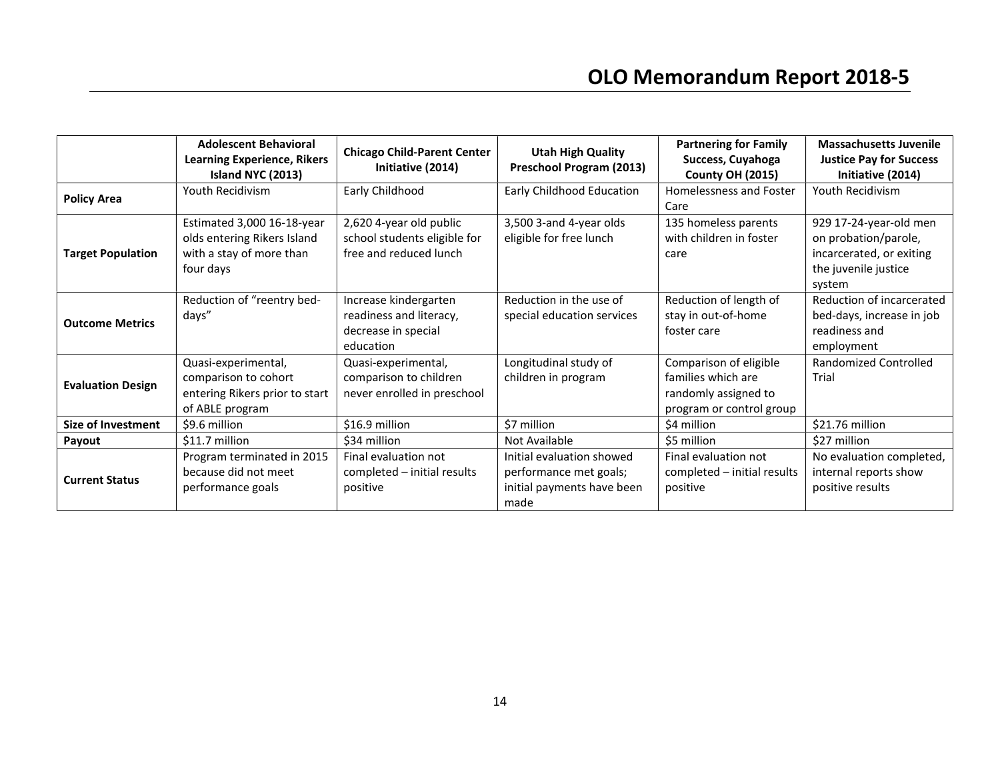|                           | <b>Adolescent Behavioral</b><br><b>Learning Experience, Rikers</b><br>Island NYC (2013)            | <b>Chicago Child-Parent Center</b><br>Initiative (2014)                              | <b>Utah High Quality</b><br>Preschool Program (2013)                                      | <b>Partnering for Family</b><br>Success, Cuyahoga<br><b>County OH (2015)</b>                     | <b>Massachusetts Juvenile</b><br><b>Justice Pay for Success</b><br>Initiative (2014)                         |
|---------------------------|----------------------------------------------------------------------------------------------------|--------------------------------------------------------------------------------------|-------------------------------------------------------------------------------------------|--------------------------------------------------------------------------------------------------|--------------------------------------------------------------------------------------------------------------|
| <b>Policy Area</b>        | Youth Recidivism                                                                                   | Early Childhood                                                                      | Early Childhood Education                                                                 | Homelessness and Foster<br>Care                                                                  | Youth Recidivism                                                                                             |
| <b>Target Population</b>  | Estimated 3,000 16-18-year<br>olds entering Rikers Island<br>with a stay of more than<br>four days | 2,620 4-year old public<br>school students eligible for<br>free and reduced lunch    | 3,500 3-and 4-year olds<br>eligible for free lunch                                        | 135 homeless parents<br>with children in foster<br>care                                          | 929 17-24-year-old men<br>on probation/parole,<br>incarcerated, or exiting<br>the juvenile justice<br>system |
| <b>Outcome Metrics</b>    | Reduction of "reentry bed-<br>days"                                                                | Increase kindergarten<br>readiness and literacy,<br>decrease in special<br>education | Reduction in the use of<br>special education services                                     | Reduction of length of<br>stay in out-of-home<br>foster care                                     | Reduction of incarcerated<br>bed-days, increase in job<br>readiness and<br>employment                        |
| <b>Evaluation Design</b>  | Quasi-experimental,<br>comparison to cohort<br>entering Rikers prior to start<br>of ABLE program   | Quasi-experimental,<br>comparison to children<br>never enrolled in preschool         | Longitudinal study of<br>children in program                                              | Comparison of eligible<br>families which are<br>randomly assigned to<br>program or control group | Randomized Controlled<br>Trial                                                                               |
| <b>Size of Investment</b> | \$9.6 million                                                                                      | \$16.9 million                                                                       | \$7 million                                                                               | \$4 million                                                                                      | \$21.76 million                                                                                              |
| Payout                    | \$11.7 million                                                                                     | \$34 million                                                                         | Not Available                                                                             | \$5 million                                                                                      | \$27 million                                                                                                 |
| <b>Current Status</b>     | Program terminated in 2015<br>because did not meet<br>performance goals                            | Final evaluation not<br>completed - initial results<br>positive                      | Initial evaluation showed<br>performance met goals;<br>initial payments have been<br>made | Final evaluation not<br>completed - initial results<br>positive                                  | No evaluation completed,<br>internal reports show<br>positive results                                        |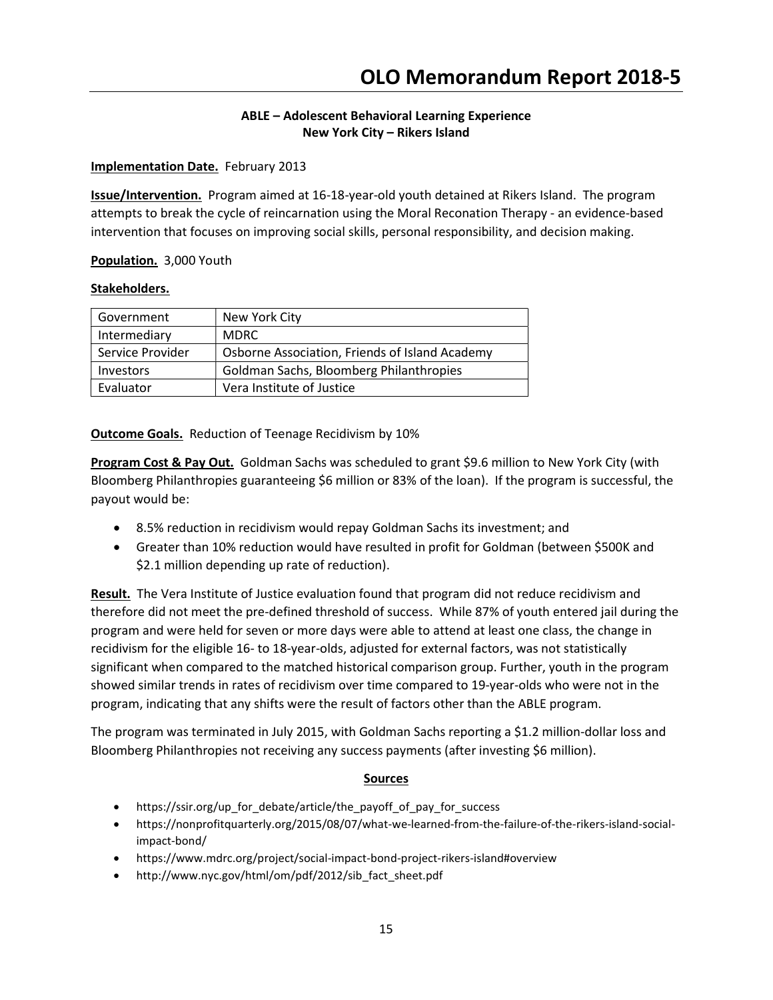# ABLE – Adolescent Behavioral Learning Experience New York City – Rikers Island

## Implementation Date. February 2013

Issue/Intervention. Program aimed at 16-18-year-old youth detained at Rikers Island. The program attempts to break the cycle of reincarnation using the Moral Reconation Therapy - an evidence-based intervention that focuses on improving social skills, personal responsibility, and decision making.

Population. 3,000 Youth

## Stakeholders.

| Government       | New York City                                  |
|------------------|------------------------------------------------|
| Intermediary     | <b>MDRC</b>                                    |
| Service Provider | Osborne Association, Friends of Island Academy |
| <b>Investors</b> | Goldman Sachs, Bloomberg Philanthropies        |
| Evaluator        | Vera Institute of Justice                      |

**Outcome Goals.** Reduction of Teenage Recidivism by 10%

**Program Cost & Pay Out.** Goldman Sachs was scheduled to grant \$9.6 million to New York City (with Bloomberg Philanthropies guaranteeing \$6 million or 83% of the loan). If the program is successful, the payout would be:

- 8.5% reduction in recidivism would repay Goldman Sachs its investment; and
- Greater than 10% reduction would have resulted in profit for Goldman (between \$500K and \$2.1 million depending up rate of reduction).

Result. The Vera Institute of Justice evaluation found that program did not reduce recidivism and therefore did not meet the pre-defined threshold of success. While 87% of youth entered jail during the program and were held for seven or more days were able to attend at least one class, the change in recidivism for the eligible 16- to 18-year-olds, adjusted for external factors, was not statistically significant when compared to the matched historical comparison group. Further, youth in the program showed similar trends in rates of recidivism over time compared to 19-year-olds who were not in the program, indicating that any shifts were the result of factors other than the ABLE program.

The program was terminated in July 2015, with Goldman Sachs reporting a \$1.2 million-dollar loss and Bloomberg Philanthropies not receiving any success payments (after investing \$6 million).

- https://ssir.org/up\_for\_debate/article/the\_payoff of pay for success
- https://nonprofitquarterly.org/2015/08/07/what-we-learned-from-the-failure-of-the-rikers-island-socialimpact-bond/
- https://www.mdrc.org/project/social-impact-bond-project-rikers-island#overview
- http://www.nyc.gov/html/om/pdf/2012/sib\_fact\_sheet.pdf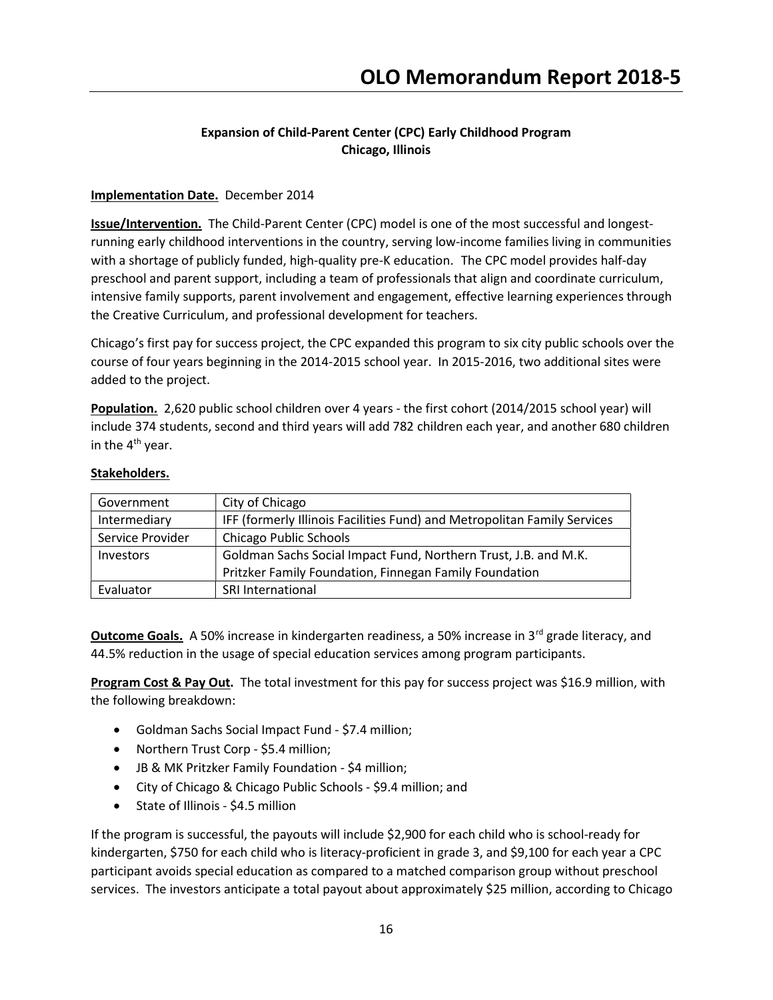# Expansion of Child-Parent Center (CPC) Early Childhood Program Chicago, Illinois

## Implementation Date. December 2014

Issue/Intervention. The Child-Parent Center (CPC) model is one of the most successful and longestrunning early childhood interventions in the country, serving low-income families living in communities with a shortage of publicly funded, high-quality pre-K education. The CPC model provides half-day preschool and parent support, including a team of professionals that align and coordinate curriculum, intensive family supports, parent involvement and engagement, effective learning experiences through the Creative Curriculum, and professional development for teachers.

Chicago's first pay for success project, the CPC expanded this program to six city public schools over the course of four years beginning in the 2014-2015 school year. In 2015-2016, two additional sites were added to the project.

Population. 2,620 public school children over 4 years - the first cohort (2014/2015 school year) will include 374 students, second and third years will add 782 children each year, and another 680 children in the 4<sup>th</sup> year.

#### Stakeholders.

| Government       | City of Chicago                                                          |
|------------------|--------------------------------------------------------------------------|
| Intermediary     | IFF (formerly Illinois Facilities Fund) and Metropolitan Family Services |
| Service Provider | <b>Chicago Public Schools</b>                                            |
| <b>Investors</b> | Goldman Sachs Social Impact Fund, Northern Trust, J.B. and M.K.          |
|                  | Pritzker Family Foundation, Finnegan Family Foundation                   |
| Evaluator        | <b>SRI International</b>                                                 |

**Outcome Goals.** A 50% increase in kindergarten readiness, a 50% increase in 3<sup>rd</sup> grade literacy, and 44.5% reduction in the usage of special education services among program participants.

Program Cost & Pay Out. The total investment for this pay for success project was \$16.9 million, with the following breakdown:

- Goldman Sachs Social Impact Fund \$7.4 million;
- Northern Trust Corp \$5.4 million;
- JB & MK Pritzker Family Foundation \$4 million;
- City of Chicago & Chicago Public Schools \$9.4 million; and
- State of Illinois \$4.5 million

If the program is successful, the payouts will include \$2,900 for each child who is school-ready for kindergarten, \$750 for each child who is literacy-proficient in grade 3, and \$9,100 for each year a CPC participant avoids special education as compared to a matched comparison group without preschool services. The investors anticipate a total payout about approximately \$25 million, according to Chicago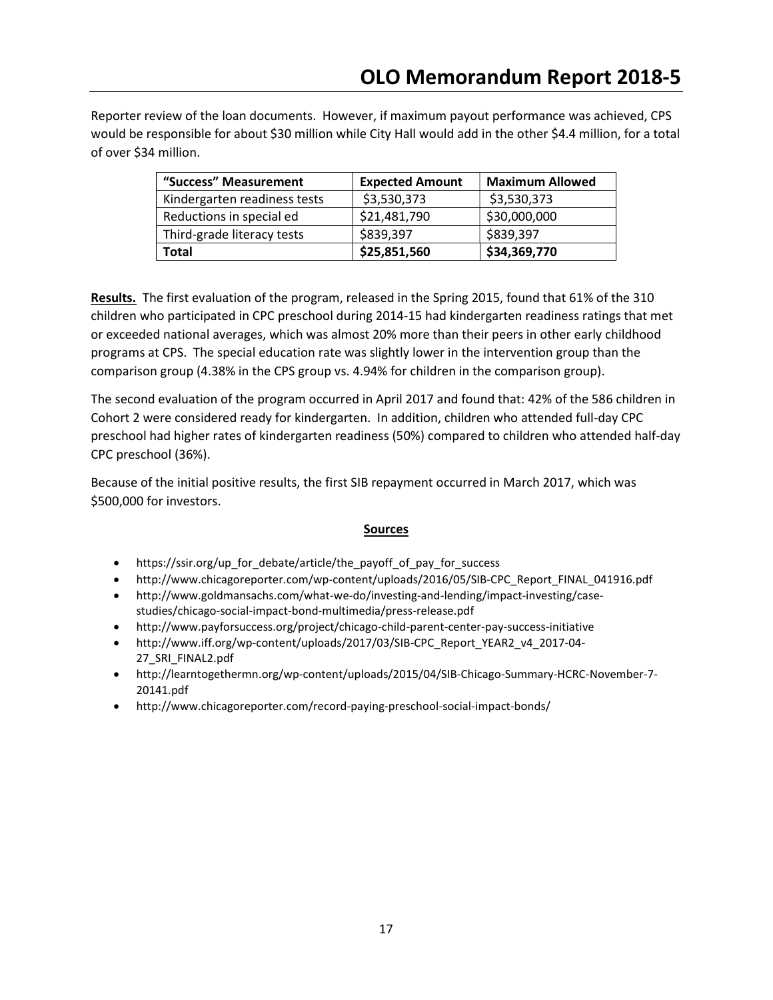Reporter review of the loan documents. However, if maximum payout performance was achieved, CPS would be responsible for about \$30 million while City Hall would add in the other \$4.4 million, for a total of over \$34 million.

| "Success" Measurement        | <b>Expected Amount</b> | <b>Maximum Allowed</b> |
|------------------------------|------------------------|------------------------|
| Kindergarten readiness tests | \$3,530,373            | \$3,530,373            |
| Reductions in special ed     | \$21,481,790           | \$30,000,000           |
| Third-grade literacy tests   | \$839,397              | \$839,397              |
| Total                        | \$25,851,560           | \$34,369,770           |

Results. The first evaluation of the program, released in the Spring 2015, found that 61% of the 310 children who participated in CPC preschool during 2014-15 had kindergarten readiness ratings that met or exceeded national averages, which was almost 20% more than their peers in other early childhood programs at CPS. The special education rate was slightly lower in the intervention group than the comparison group (4.38% in the CPS group vs. 4.94% for children in the comparison group).

The second evaluation of the program occurred in April 2017 and found that: 42% of the 586 children in Cohort 2 were considered ready for kindergarten. In addition, children who attended full-day CPC preschool had higher rates of kindergarten readiness (50%) compared to children who attended half-day CPC preschool (36%).

Because of the initial positive results, the first SIB repayment occurred in March 2017, which was \$500,000 for investors.

- https://ssir.org/up\_for\_debate/article/the\_payoff\_of\_pay\_for\_success
- http://www.chicagoreporter.com/wp-content/uploads/2016/05/SIB-CPC\_Report\_FINAL\_041916.pdf
- http://www.goldmansachs.com/what-we-do/investing-and-lending/impact-investing/casestudies/chicago-social-impact-bond-multimedia/press-release.pdf
- http://www.payforsuccess.org/project/chicago-child-parent-center-pay-success-initiative
- http://www.iff.org/wp-content/uploads/2017/03/SIB-CPC\_Report\_YEAR2\_v4\_2017-04- 27\_SRI\_FINAL2.pdf
- http://learntogethermn.org/wp-content/uploads/2015/04/SIB-Chicago-Summary-HCRC-November-7- 20141.pdf
- http://www.chicagoreporter.com/record-paying-preschool-social-impact-bonds/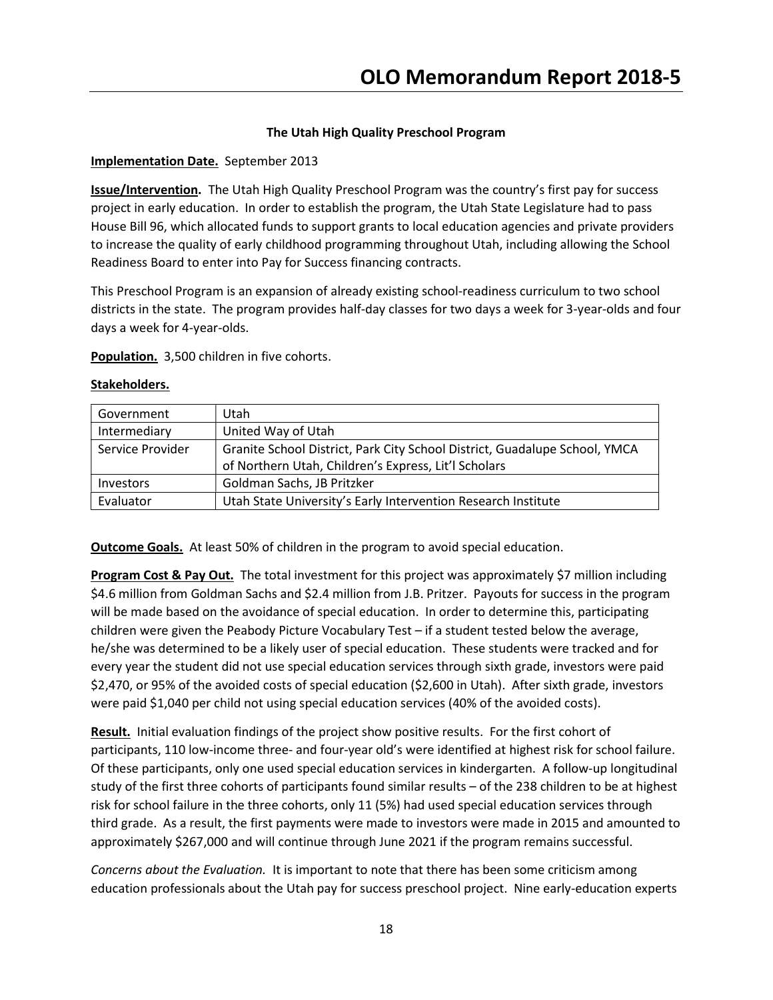# The Utah High Quality Preschool Program

## Implementation Date. September 2013

Issue/Intervention. The Utah High Quality Preschool Program was the country's first pay for success project in early education. In order to establish the program, the Utah State Legislature had to pass House Bill 96, which allocated funds to support grants to local education agencies and private providers to increase the quality of early childhood programming throughout Utah, including allowing the School Readiness Board to enter into Pay for Success financing contracts.

This Preschool Program is an expansion of already existing school-readiness curriculum to two school districts in the state. The program provides half-day classes for two days a week for 3-year-olds and four days a week for 4-year-olds.

Population. 3,500 children in five cohorts.

|  | stakenoiders. |  |  |
|--|---------------|--|--|
|  |               |  |  |
|  |               |  |  |
|  |               |  |  |

Stakeholders.

| Government       | Utah                                                                       |
|------------------|----------------------------------------------------------------------------|
| Intermediary     | United Way of Utah                                                         |
| Service Provider | Granite School District, Park City School District, Guadalupe School, YMCA |
|                  | of Northern Utah, Children's Express, Lit'l Scholars                       |
| Investors        | Goldman Sachs, JB Pritzker                                                 |
| Evaluator        | Utah State University's Early Intervention Research Institute              |

Outcome Goals. At least 50% of children in the program to avoid special education.

Program Cost & Pay Out. The total investment for this project was approximately \$7 million including \$4.6 million from Goldman Sachs and \$2.4 million from J.B. Pritzer. Payouts for success in the program will be made based on the avoidance of special education. In order to determine this, participating children were given the Peabody Picture Vocabulary Test – if a student tested below the average, he/she was determined to be a likely user of special education. These students were tracked and for every year the student did not use special education services through sixth grade, investors were paid \$2,470, or 95% of the avoided costs of special education (\$2,600 in Utah). After sixth grade, investors were paid \$1,040 per child not using special education services (40% of the avoided costs).

Result. Initial evaluation findings of the project show positive results. For the first cohort of participants, 110 low-income three- and four-year old's were identified at highest risk for school failure. Of these participants, only one used special education services in kindergarten. A follow-up longitudinal study of the first three cohorts of participants found similar results – of the 238 children to be at highest risk for school failure in the three cohorts, only 11 (5%) had used special education services through third grade. As a result, the first payments were made to investors were made in 2015 and amounted to approximately \$267,000 and will continue through June 2021 if the program remains successful.

Concerns about the Evaluation. It is important to note that there has been some criticism among education professionals about the Utah pay for success preschool project. Nine early-education experts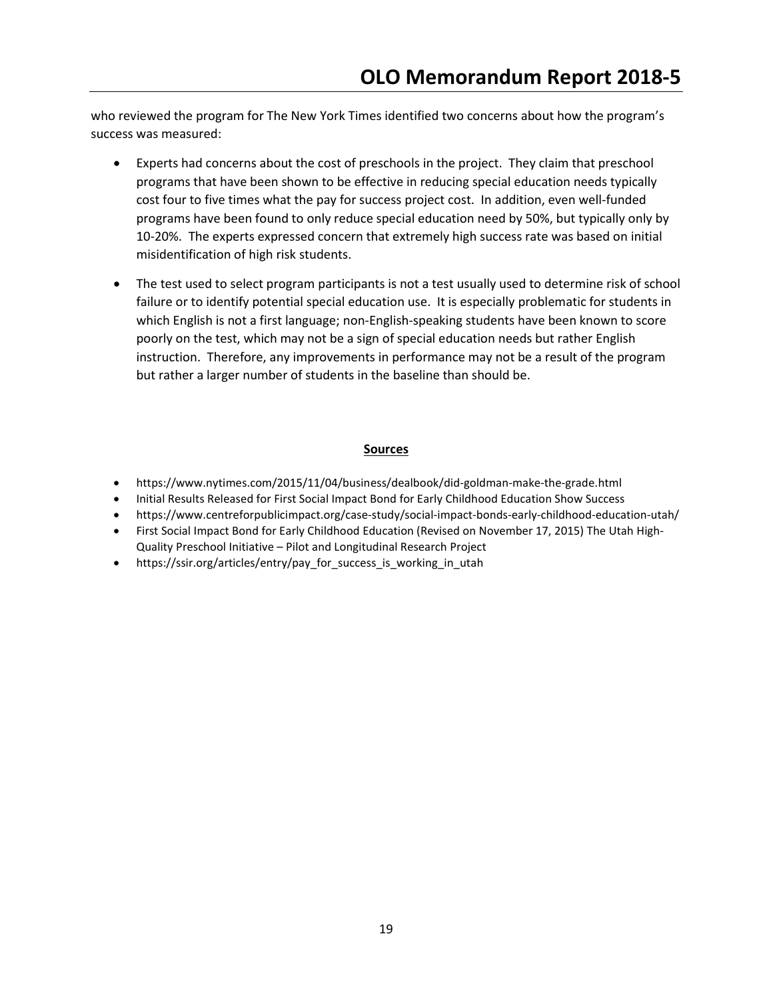who reviewed the program for The New York Times identified two concerns about how the program's success was measured:

- Experts had concerns about the cost of preschools in the project. They claim that preschool programs that have been shown to be effective in reducing special education needs typically cost four to five times what the pay for success project cost. In addition, even well-funded programs have been found to only reduce special education need by 50%, but typically only by 10-20%. The experts expressed concern that extremely high success rate was based on initial misidentification of high risk students.
- The test used to select program participants is not a test usually used to determine risk of school failure or to identify potential special education use. It is especially problematic for students in which English is not a first language; non-English-speaking students have been known to score poorly on the test, which may not be a sign of special education needs but rather English instruction. Therefore, any improvements in performance may not be a result of the program but rather a larger number of students in the baseline than should be.

- https://www.nytimes.com/2015/11/04/business/dealbook/did-goldman-make-the-grade.html
- Initial Results Released for First Social Impact Bond for Early Childhood Education Show Success
- https://www.centreforpublicimpact.org/case-study/social-impact-bonds-early-childhood-education-utah/
- First Social Impact Bond for Early Childhood Education (Revised on November 17, 2015) The Utah High-Quality Preschool Initiative – Pilot and Longitudinal Research Project
- https://ssir.org/articles/entry/pay\_for\_success\_is\_working\_in\_utah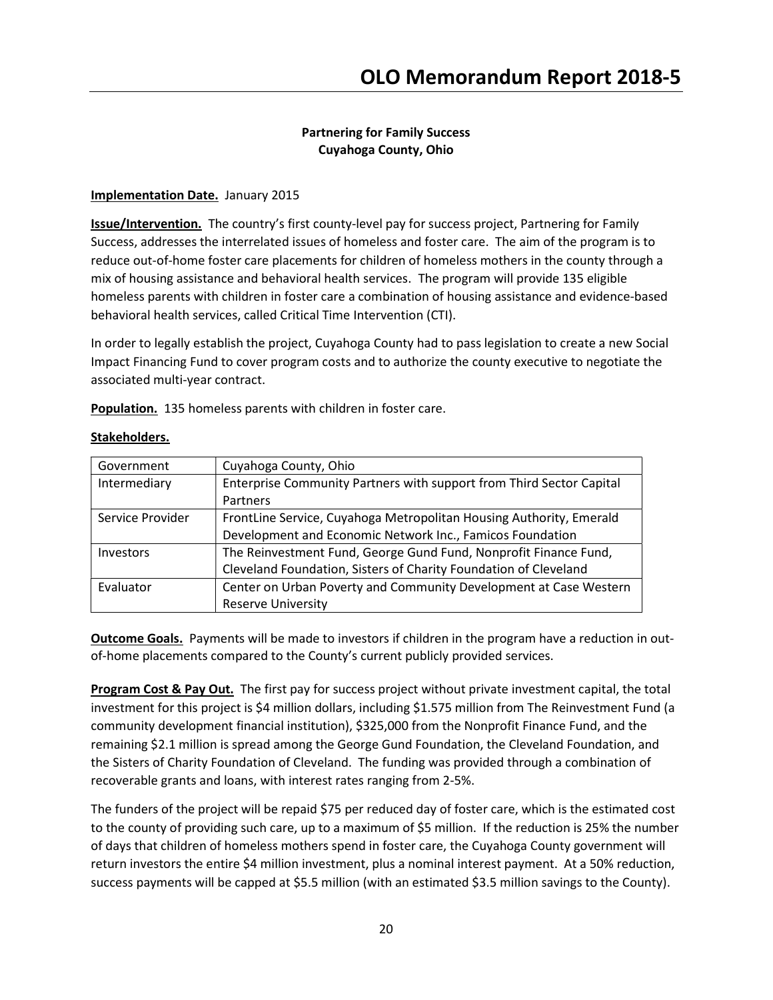# Partnering for Family Success Cuyahoga County, Ohio

## Implementation Date. January 2015

Issue/Intervention. The country's first county-level pay for success project, Partnering for Family Success, addresses the interrelated issues of homeless and foster care. The aim of the program is to reduce out-of-home foster care placements for children of homeless mothers in the county through a mix of housing assistance and behavioral health services. The program will provide 135 eligible homeless parents with children in foster care a combination of housing assistance and evidence-based behavioral health services, called Critical Time Intervention (CTI).

In order to legally establish the project, Cuyahoga County had to pass legislation to create a new Social Impact Financing Fund to cover program costs and to authorize the county executive to negotiate the associated multi-year contract.

Population. 135 homeless parents with children in foster care.

| Government       | Cuyahoga County, Ohio                                                |  |
|------------------|----------------------------------------------------------------------|--|
| Intermediary     | Enterprise Community Partners with support from Third Sector Capital |  |
|                  | Partners                                                             |  |
| Service Provider | FrontLine Service, Cuyahoga Metropolitan Housing Authority, Emerald  |  |
|                  | Development and Economic Network Inc., Famicos Foundation            |  |
| <b>Investors</b> | The Reinvestment Fund, George Gund Fund, Nonprofit Finance Fund,     |  |
|                  | Cleveland Foundation, Sisters of Charity Foundation of Cleveland     |  |
| Evaluator        | Center on Urban Poverty and Community Development at Case Western    |  |
|                  | <b>Reserve University</b>                                            |  |

# Stakeholders.

**Outcome Goals.** Payments will be made to investors if children in the program have a reduction in outof-home placements compared to the County's current publicly provided services.

**Program Cost & Pay Out.** The first pay for success project without private investment capital, the total investment for this project is \$4 million dollars, including \$1.575 million from The Reinvestment Fund (a community development financial institution), \$325,000 from the Nonprofit Finance Fund, and the remaining \$2.1 million is spread among the George Gund Foundation, the Cleveland Foundation, and the Sisters of Charity Foundation of Cleveland. The funding was provided through a combination of recoverable grants and loans, with interest rates ranging from 2-5%.

The funders of the project will be repaid \$75 per reduced day of foster care, which is the estimated cost to the county of providing such care, up to a maximum of \$5 million. If the reduction is 25% the number of days that children of homeless mothers spend in foster care, the Cuyahoga County government will return investors the entire \$4 million investment, plus a nominal interest payment. At a 50% reduction, success payments will be capped at \$5.5 million (with an estimated \$3.5 million savings to the County).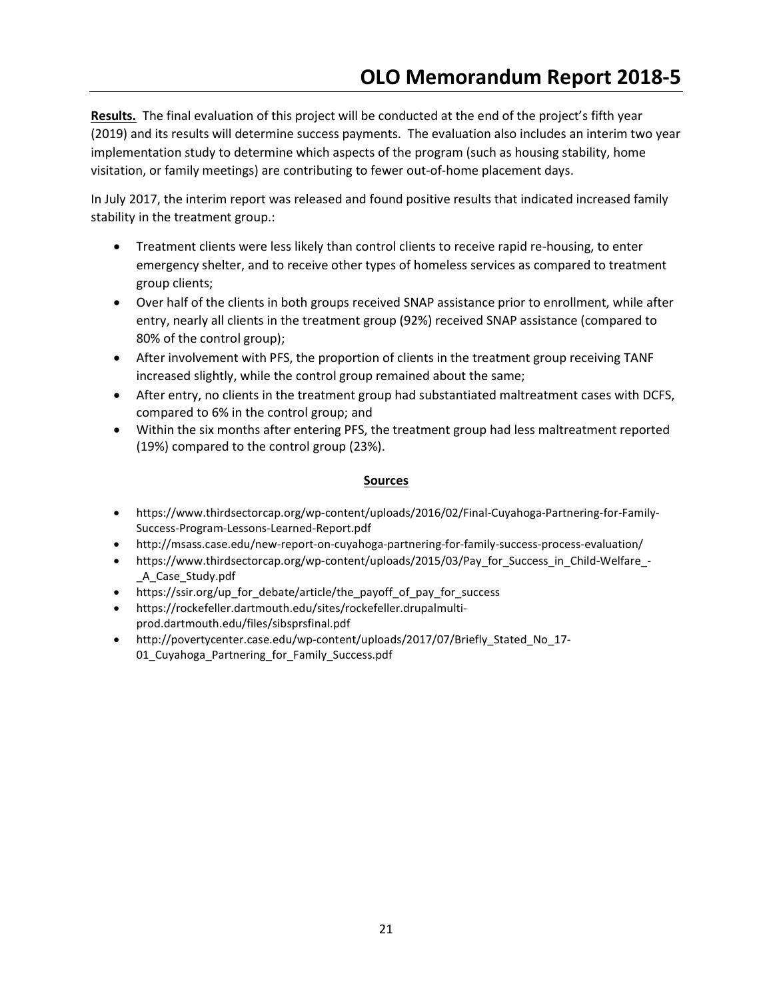Results. The final evaluation of this project will be conducted at the end of the project's fifth year (2019) and its results will determine success payments. The evaluation also includes an interim two year implementation study to determine which aspects of the program (such as housing stability, home visitation, or family meetings) are contributing to fewer out-of-home placement days.

In July 2017, the interim report was released and found positive results that indicated increased family stability in the treatment group.:

- Treatment clients were less likely than control clients to receive rapid re-housing, to enter emergency shelter, and to receive other types of homeless services as compared to treatment group clients;
- Over half of the clients in both groups received SNAP assistance prior to enrollment, while after entry, nearly all clients in the treatment group (92%) received SNAP assistance (compared to 80% of the control group);
- After involvement with PFS, the proportion of clients in the treatment group receiving TANF increased slightly, while the control group remained about the same;
- After entry, no clients in the treatment group had substantiated maltreatment cases with DCFS, compared to 6% in the control group; and
- Within the six months after entering PFS, the treatment group had less maltreatment reported (19%) compared to the control group (23%).

- https://www.thirdsectorcap.org/wp-content/uploads/2016/02/Final-Cuyahoga-Partnering-for-Family-Success-Program-Lessons-Learned-Report.pdf
- http://msass.case.edu/new-report-on-cuyahoga-partnering-for-family-success-process-evaluation/
- https://www.thirdsectorcap.org/wp-content/uploads/2015/03/Pay\_for\_Success\_in\_Child-Welfare\_-\_A\_Case\_Study.pdf
- https://ssir.org/up\_for\_debate/article/the\_payoff\_of\_pay\_for\_success
- https://rockefeller.dartmouth.edu/sites/rockefeller.drupalmultiprod.dartmouth.edu/files/sibsprsfinal.pdf
- http://povertycenter.case.edu/wp-content/uploads/2017/07/Briefly\_Stated\_No\_17- 01\_Cuyahoga\_Partnering\_for\_Family\_Success.pdf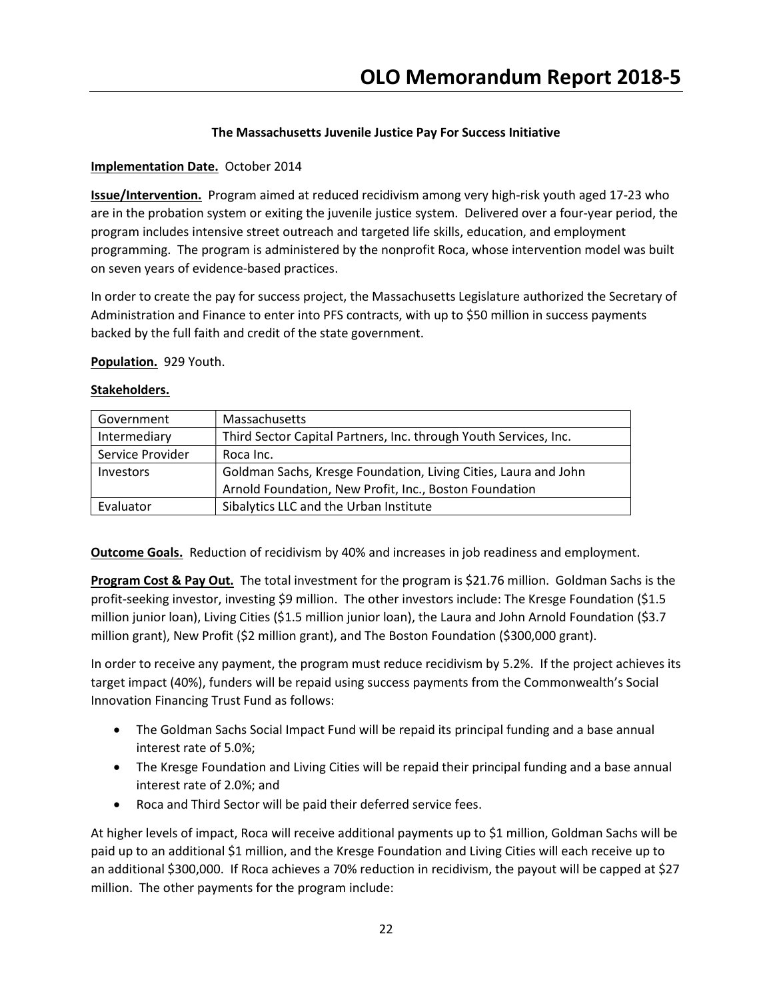## The Massachusetts Juvenile Justice Pay For Success Initiative

## Implementation Date. October 2014

Issue/Intervention. Program aimed at reduced recidivism among very high-risk youth aged 17-23 who are in the probation system or exiting the juvenile justice system. Delivered over a four-year period, the program includes intensive street outreach and targeted life skills, education, and employment programming. The program is administered by the nonprofit Roca, whose intervention model was built on seven years of evidence-based practices.

In order to create the pay for success project, the Massachusetts Legislature authorized the Secretary of Administration and Finance to enter into PFS contracts, with up to \$50 million in success payments backed by the full faith and credit of the state government.

## Population. 929 Youth.

#### Stakeholders.

| Government       | Massachusetts                                                    |
|------------------|------------------------------------------------------------------|
| Intermediary     | Third Sector Capital Partners, Inc. through Youth Services, Inc. |
| Service Provider | Roca Inc.                                                        |
| Investors        | Goldman Sachs, Kresge Foundation, Living Cities, Laura and John  |
|                  | Arnold Foundation, New Profit, Inc., Boston Foundation           |
| Evaluator        | Sibalytics LLC and the Urban Institute                           |

**Outcome Goals.** Reduction of recidivism by 40% and increases in job readiness and employment.

Program Cost & Pay Out. The total investment for the program is \$21.76 million. Goldman Sachs is the profit-seeking investor, investing \$9 million. The other investors include: The Kresge Foundation (\$1.5 million junior loan), Living Cities (\$1.5 million junior loan), the Laura and John Arnold Foundation (\$3.7 million grant), New Profit (\$2 million grant), and The Boston Foundation (\$300,000 grant).

In order to receive any payment, the program must reduce recidivism by 5.2%. If the project achieves its target impact (40%), funders will be repaid using success payments from the Commonwealth's Social Innovation Financing Trust Fund as follows:

- The Goldman Sachs Social Impact Fund will be repaid its principal funding and a base annual interest rate of 5.0%;
- The Kresge Foundation and Living Cities will be repaid their principal funding and a base annual interest rate of 2.0%; and
- Roca and Third Sector will be paid their deferred service fees.

At higher levels of impact, Roca will receive additional payments up to \$1 million, Goldman Sachs will be paid up to an additional \$1 million, and the Kresge Foundation and Living Cities will each receive up to an additional \$300,000. If Roca achieves a 70% reduction in recidivism, the payout will be capped at \$27 million. The other payments for the program include: